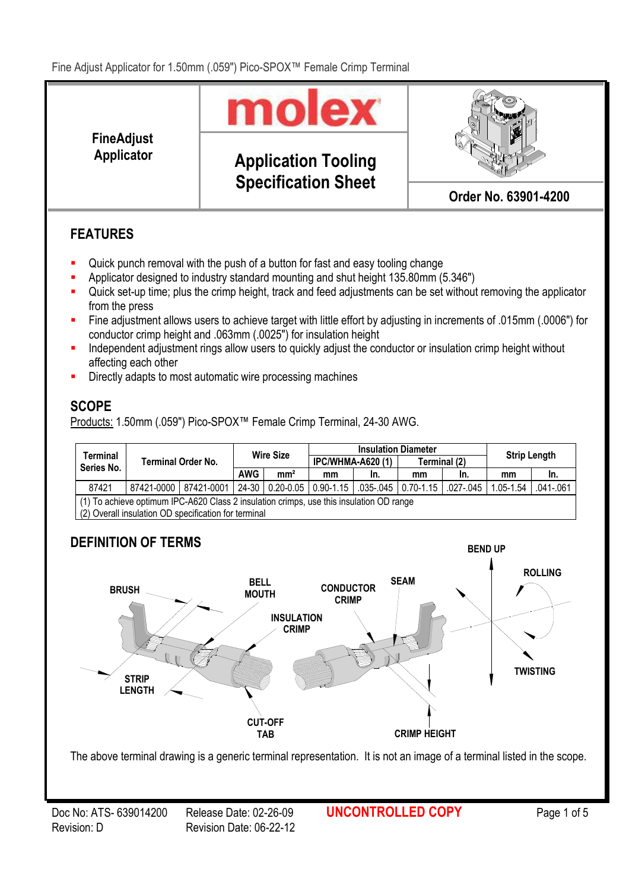

# Applicator Application Tooling Specification Sheet



Order No. 63901-4200

# FEATURES

FineAdjust

- Quick punch removal with the push of a button for fast and easy tooling change
- Applicator designed to industry standard mounting and shut height 135.80mm (5.346")
- Quick set-up time; plus the crimp height, track and feed adjustments can be set without removing the applicator from the press
- Fine adjustment allows users to achieve target with little effort by adjusting in increments of .015mm (.0006") for conductor crimp height and .063mm (.0025") for insulation height
- Independent adjustment rings allow users to quickly adjust the conductor or insulation crimp height without affecting each other
- Directly adapts to most automatic wire processing machines

### SCOPE

Products: 1.50mm (.059") Pico-SPOX™ Female Crimp Terminal, 24-30 AWG.

| Terminal                                                                                            | <b>Terminal Order No.</b>                                                                               |  | <b>Wire Size</b> |                 |                          | <b>Insulation Diameter</b> | <b>Strip Length</b> |     |              |               |
|-----------------------------------------------------------------------------------------------------|---------------------------------------------------------------------------------------------------------|--|------------------|-----------------|--------------------------|----------------------------|---------------------|-----|--------------|---------------|
| Series No.                                                                                          |                                                                                                         |  |                  |                 | <b>IPC/WHMA-A620 (1)</b> |                            |                     |     | Terminal (2) |               |
|                                                                                                     |                                                                                                         |  | <b>AWG</b>       | mm <sup>2</sup> | mm                       | In.                        | mm                  | In. | mm           | ın.           |
| 87421                                                                                               | 87421-0000   87421-0001   24-30   0.20-0.05   0.90-1.15   .035-.045   0.70-1.15   .027-.045   1.05-1.54 |  |                  |                 |                          |                            |                     |     |              | $.041 - .061$ |
| (1) To achieve optimum IPC-A620 Class 2 insulation crimps, use this insulation OD range<br>(2)<br>. |                                                                                                         |  |                  |                 |                          |                            |                     |     |              |               |

(2) Overall insulation OD specification for terminal

# DEFINITION OF TERMS



The above terminal drawing is a generic terminal representation. It is not an image of a terminal listed in the scope.

Revision: D Revision Date: 06-22-12

Doc No: ATS- 639014200 Release Date: 02-26-09 UNCONTROLLED COPY Page 1 of 5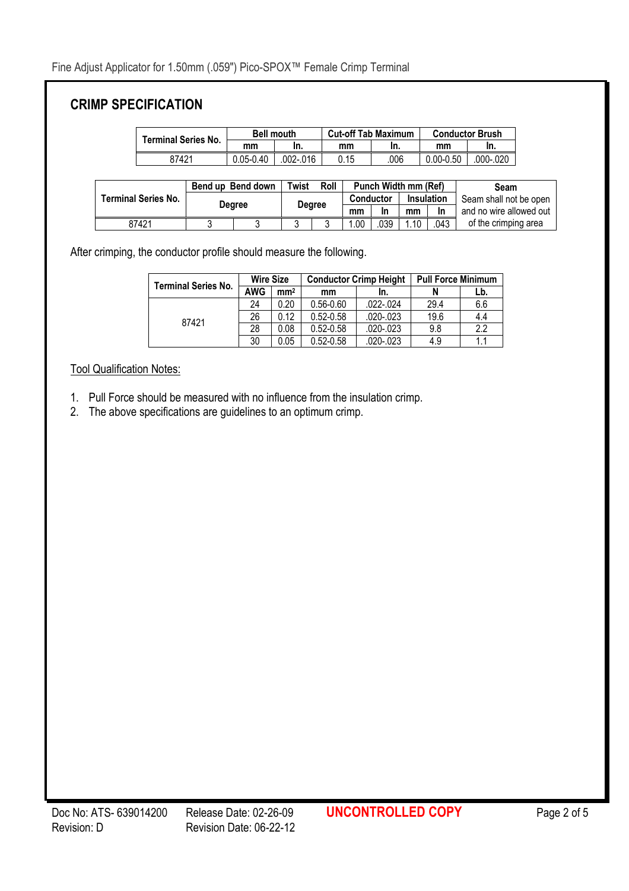### CRIMP SPECIFICATION

| <b>Terminal Series No.</b> |               | <b>Bell mouth</b> | <b>Cut-off Tab Maximum</b> |     | <b>Conductor Brush</b> |           |  |
|----------------------------|---------------|-------------------|----------------------------|-----|------------------------|-----------|--|
|                            | mm            |                   | mm                         | In. | mm                     | In.       |  |
| 87421                      | $0.05 - 0.40$ | 002-.016          | 0.15                       | 006 | $0.00 - 0.50$          | .000-.020 |  |

|                            | Bend up Bend down | Roll<br>Twist |  | Punch Width mm (Ref) |     |            |     | Seam                    |                      |
|----------------------------|-------------------|---------------|--|----------------------|-----|------------|-----|-------------------------|----------------------|
| <b>Terminal Series No.</b> |                   | Degree        |  | Conductor            |     | Insulation |     | Seam shall not be open  |                      |
|                            | <b>Dearee</b>     |               |  | mm                   | In  | mm         | In  | and no wire allowed out |                      |
| 87421                      |                   |               |  |                      | .00 | 039        | .10 | 043                     | of the crimping area |

After crimping, the conductor profile should measure the following.

| <b>Terminal Series No.</b> | <b>Wire Size</b> |                 |               | <b>Conductor Crimp Height</b> | <b>Pull Force Minimum</b> |     |  |
|----------------------------|------------------|-----------------|---------------|-------------------------------|---------------------------|-----|--|
|                            | <b>AWG</b>       | mm <sup>2</sup> | mm            | In.                           |                           | Lb. |  |
|                            | 24               | 0.20            | $0.56 - 0.60$ | $.022 - .024$                 | 29.4                      | 6.6 |  |
| 87421                      | 26               | 0.12            | $0.52 - 0.58$ | $.020 - .023$                 | 19.6                      | 4.4 |  |
|                            | 28               | 0.08            | $0.52 - 0.58$ | $.020 - .023$                 | 9.8                       | 22  |  |
|                            | 30               | 0.05            | $0.52 - 0.58$ | $.020 - .023$                 | 4.9                       | 1.1 |  |

#### **Tool Qualification Notes:**

- 1. Pull Force should be measured with no influence from the insulation crimp.
- 2. The above specifications are guidelines to an optimum crimp.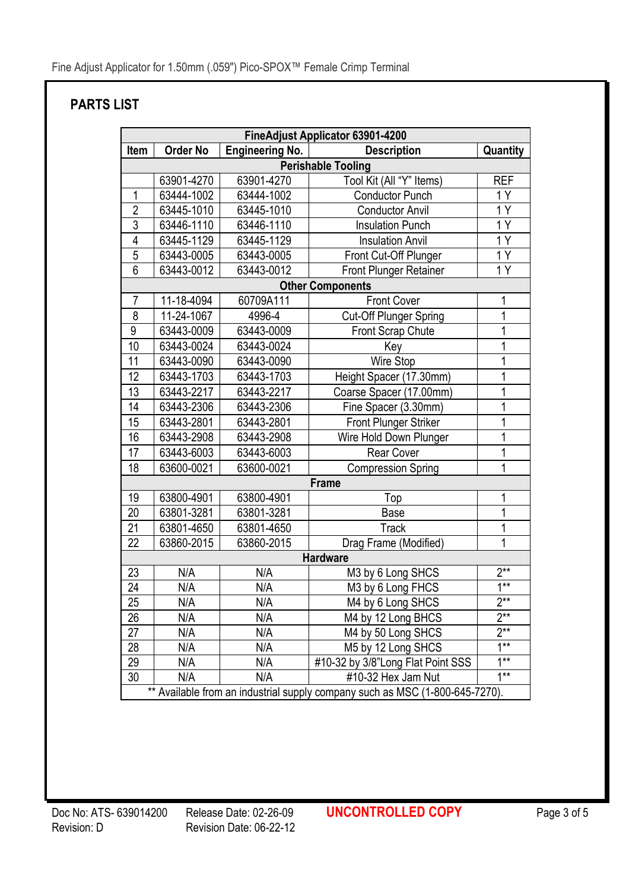# PARTS LIST

| FineAdjust Applicator 63901-4200 |                                                                              |                        |                                   |            |  |  |  |  |  |  |
|----------------------------------|------------------------------------------------------------------------------|------------------------|-----------------------------------|------------|--|--|--|--|--|--|
| <b>Item</b>                      | <b>Order No</b>                                                              | <b>Engineering No.</b> | <b>Description</b>                | Quantity   |  |  |  |  |  |  |
| <b>Perishable Tooling</b>        |                                                                              |                        |                                   |            |  |  |  |  |  |  |
|                                  | 63901-4270                                                                   | 63901-4270             | Tool Kit (All "Y" Items)          | <b>REF</b> |  |  |  |  |  |  |
| 1                                | 63444-1002                                                                   | 63444-1002             | <b>Conductor Punch</b>            | 1Y         |  |  |  |  |  |  |
| $\overline{2}$                   | 63445-1010                                                                   | 63445-1010             | <b>Conductor Anvil</b>            | 1 Y        |  |  |  |  |  |  |
| 3                                | 63446-1110                                                                   | 63446-1110             | <b>Insulation Punch</b>           | 1Y         |  |  |  |  |  |  |
| $\overline{4}$                   | 63445-1129                                                                   | 63445-1129             | <b>Insulation Anvil</b>           | 1Y         |  |  |  |  |  |  |
| 5                                | 63443-0005                                                                   | 63443-0005             | Front Cut-Off Plunger             | 1Y         |  |  |  |  |  |  |
| $6\phantom{a}$                   | 63443-0012                                                                   | 63443-0012             | Front Plunger Retainer            | 1Y         |  |  |  |  |  |  |
| <b>Other Components</b>          |                                                                              |                        |                                   |            |  |  |  |  |  |  |
| $\overline{7}$                   | 11-18-4094                                                                   | 60709A111              | <b>Front Cover</b>                | 1          |  |  |  |  |  |  |
| 8                                | 11-24-1067                                                                   | 4996-4                 | <b>Cut-Off Plunger Spring</b>     | 1          |  |  |  |  |  |  |
| 9                                | 63443-0009                                                                   | 63443-0009             | Front Scrap Chute                 | 1          |  |  |  |  |  |  |
| 10                               | 63443-0024                                                                   | 63443-0024             | Key                               | 1          |  |  |  |  |  |  |
| 11                               | 63443-0090                                                                   | 63443-0090             | Wire Stop                         | 1          |  |  |  |  |  |  |
| 12                               | 63443-1703                                                                   | 63443-1703             | Height Spacer (17.30mm)           | 1          |  |  |  |  |  |  |
| 13                               | 63443-2217                                                                   | 63443-2217             | Coarse Spacer (17.00mm)           | 1          |  |  |  |  |  |  |
| 14                               | 63443-2306                                                                   | 63443-2306             | Fine Spacer (3.30mm)              | 1          |  |  |  |  |  |  |
| 15                               | 63443-2801                                                                   | 63443-2801             | Front Plunger Striker             | 1          |  |  |  |  |  |  |
| 16                               | 63443-2908                                                                   | 63443-2908             | Wire Hold Down Plunger            | 1          |  |  |  |  |  |  |
| 17                               | 63443-6003                                                                   | 63443-6003             | <b>Rear Cover</b>                 | 1          |  |  |  |  |  |  |
| 18                               | 63600-0021                                                                   | 63600-0021             | <b>Compression Spring</b>         | 1          |  |  |  |  |  |  |
| <b>Frame</b>                     |                                                                              |                        |                                   |            |  |  |  |  |  |  |
| 19                               | 63800-4901                                                                   | 63800-4901             | Top                               | 1          |  |  |  |  |  |  |
| 20                               | 63801-3281                                                                   | 63801-3281             | Base                              | 1          |  |  |  |  |  |  |
| 21                               | 63801-4650                                                                   | 63801-4650             | <b>Track</b>                      | 1          |  |  |  |  |  |  |
| 22                               | 63860-2015                                                                   | 63860-2015             | Drag Frame (Modified)             | 1          |  |  |  |  |  |  |
|                                  |                                                                              |                        | <b>Hardware</b>                   |            |  |  |  |  |  |  |
| 23                               | N/A                                                                          | N/A                    | M3 by 6 Long SHCS                 | $2**$      |  |  |  |  |  |  |
| 24                               | N/A                                                                          | N/A                    | M3 by 6 Long FHCS                 | $1***$     |  |  |  |  |  |  |
| 25                               | N/A                                                                          | N/A                    | M4 by 6 Long SHCS                 | $2**$      |  |  |  |  |  |  |
| 26                               | N/A                                                                          | N/A                    | M4 by 12 Long BHCS                | $2**$      |  |  |  |  |  |  |
| 27                               | N/A                                                                          | N/A                    | M4 by 50 Long SHCS                | $2**$      |  |  |  |  |  |  |
| 28                               | N/A                                                                          | N/A                    | M5 by 12 Long SHCS                | $1***$     |  |  |  |  |  |  |
| 29                               | N/A                                                                          | N/A                    | #10-32 by 3/8"Long Flat Point SSS | $1***$     |  |  |  |  |  |  |
| 30                               | N/A                                                                          | N/A                    | #10-32 Hex Jam Nut                | $1***$     |  |  |  |  |  |  |
|                                  | ** Available from an industrial supply company such as MSC (1-800-645-7270). |                        |                                   |            |  |  |  |  |  |  |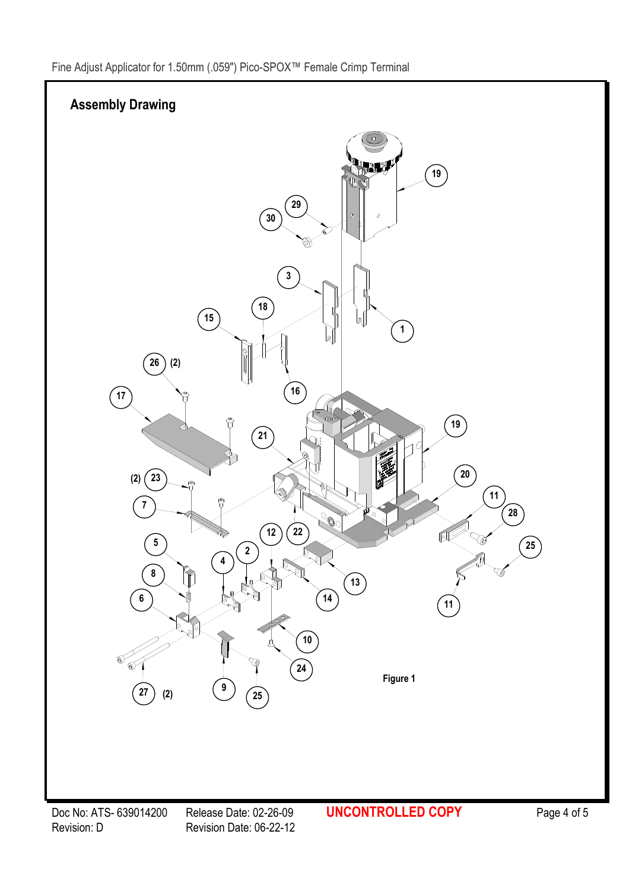

Revision Date: 06-22-12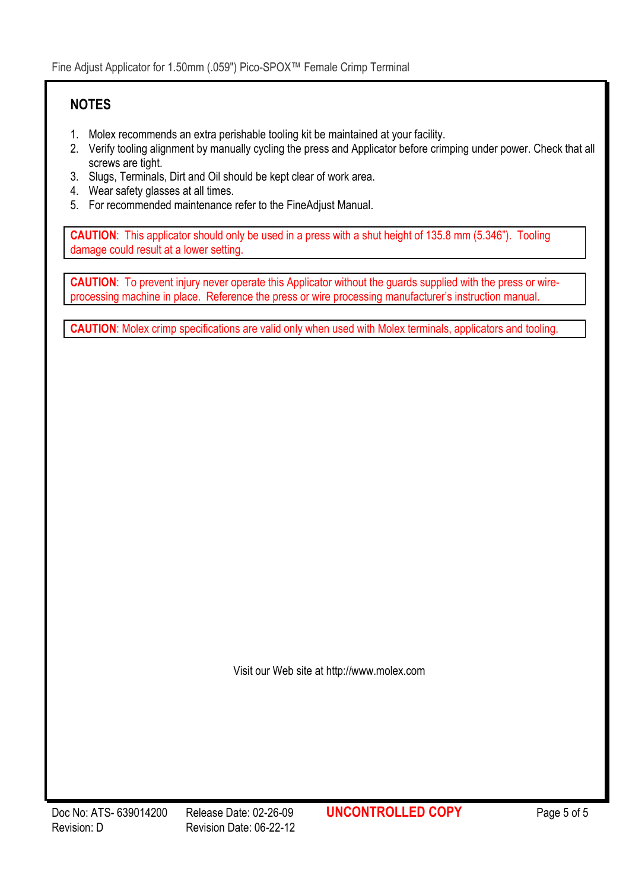# NOTES

- 1. Molex recommends an extra perishable tooling kit be maintained at your facility.
- 2. Verify tooling alignment by manually cycling the press and Applicator before crimping under power. Check that all screws are tight.
- 3. Slugs, Terminals, Dirt and Oil should be kept clear of work area.
- 4. Wear safety glasses at all times.
- 5. For recommended maintenance refer to the FineAdjust Manual.

CAUTION: This applicator should only be used in a press with a shut height of 135.8 mm (5.346"). Tooling damage could result at a lower setting.

CAUTION: To prevent injury never operate this Applicator without the guards supplied with the press or wireprocessing machine in place. Reference the press or wire processing manufacturer's instruction manual.

CAUTION: Molex crimp specifications are valid only when used with Molex terminals, applicators and tooling.

Visit our Web site at http://www.molex.com